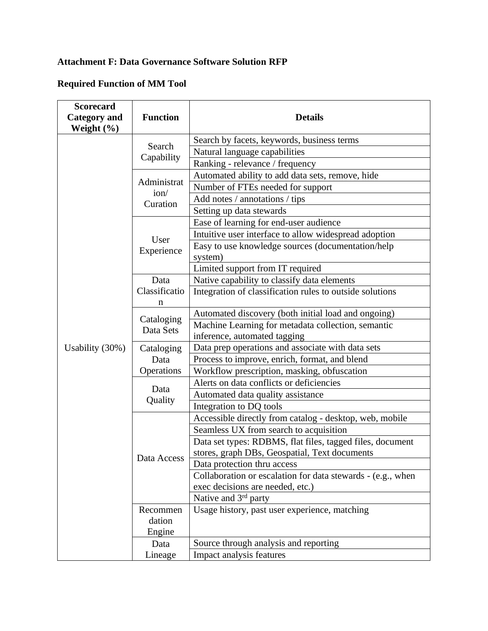## **Attachment F: Data Governance Software Solution RFP**

## **Required Function of MM Tool**

| <b>Scorecard</b><br><b>Category and</b><br>Weight $(\% )$ | <b>Function</b>                 | <b>Details</b>                                               |
|-----------------------------------------------------------|---------------------------------|--------------------------------------------------------------|
|                                                           | Search<br>Capability            | Search by facets, keywords, business terms                   |
|                                                           |                                 | Natural language capabilities                                |
|                                                           |                                 | Ranking - relevance / frequency                              |
|                                                           | Administrat<br>ion/<br>Curation | Automated ability to add data sets, remove, hide             |
|                                                           |                                 | Number of FTEs needed for support                            |
|                                                           |                                 | Add notes / annotations / tips                               |
|                                                           |                                 | Setting up data stewards                                     |
|                                                           | User<br>Experience              | Ease of learning for end-user audience                       |
|                                                           |                                 | Intuitive user interface to allow widespread adoption        |
|                                                           |                                 | Easy to use knowledge sources (documentation/help<br>system) |
|                                                           |                                 | Limited support from IT required                             |
|                                                           | Data                            | Native capability to classify data elements                  |
|                                                           | Classificatio<br>n              | Integration of classification rules to outside solutions     |
|                                                           | Cataloging<br>Data Sets         | Automated discovery (both initial load and ongoing)          |
|                                                           |                                 | Machine Learning for metadata collection, semantic           |
|                                                           |                                 | inference, automated tagging                                 |
| Usability (30%)                                           | Cataloging<br>Data              | Data prep operations and associate with data sets            |
|                                                           |                                 | Process to improve, enrich, format, and blend                |
|                                                           | Operations                      | Workflow prescription, masking, obfuscation                  |
|                                                           |                                 | Alerts on data conflicts or deficiencies                     |
|                                                           | Data<br>Quality                 | Automated data quality assistance                            |
|                                                           |                                 | Integration to DQ tools                                      |
|                                                           | Data Access                     | Accessible directly from catalog - desktop, web, mobile      |
|                                                           |                                 | Seamless UX from search to acquisition                       |
|                                                           |                                 | Data set types: RDBMS, flat files, tagged files, document    |
|                                                           |                                 | stores, graph DBs, Geospatial, Text documents                |
|                                                           |                                 | Data protection thru access                                  |
|                                                           |                                 | Collaboration or escalation for data stewards - (e.g., when  |
|                                                           |                                 | exec decisions are needed, etc.)                             |
|                                                           |                                 | Native and 3 <sup>rd</sup> party                             |
|                                                           | Recommen                        | Usage history, past user experience, matching                |
|                                                           | dation                          |                                                              |
|                                                           | Engine                          |                                                              |
|                                                           | Data                            | Source through analysis and reporting                        |
|                                                           | Lineage                         | Impact analysis features                                     |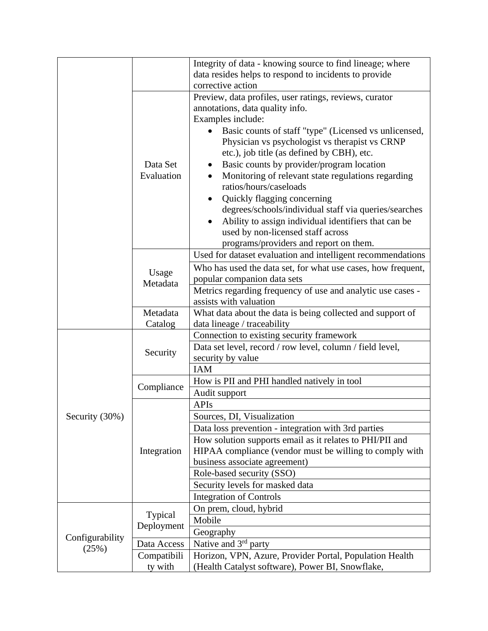|                          |                        | Integrity of data - knowing source to find lineage; where                    |
|--------------------------|------------------------|------------------------------------------------------------------------------|
|                          |                        | data resides helps to respond to incidents to provide                        |
|                          |                        | corrective action                                                            |
|                          |                        | Preview, data profiles, user ratings, reviews, curator                       |
|                          | Data Set<br>Evaluation | annotations, data quality info.                                              |
|                          |                        | Examples include:                                                            |
|                          |                        | Basic counts of staff "type" (Licensed vs unlicensed,                        |
|                          |                        | Physician vs psychologist vs therapist vs CRNP                               |
|                          |                        | etc.), job title (as defined by CBH), etc.                                   |
|                          |                        | Basic counts by provider/program location                                    |
|                          |                        | Monitoring of relevant state regulations regarding<br>ratios/hours/caseloads |
|                          |                        | Quickly flagging concerning                                                  |
|                          |                        | degrees/schools/individual staff via queries/searches                        |
|                          |                        | Ability to assign individual identifiers that can be                         |
|                          |                        | used by non-licensed staff across                                            |
|                          |                        | programs/providers and report on them.                                       |
|                          | Usage<br>Metadata      | Used for dataset evaluation and intelligent recommendations                  |
|                          |                        | Who has used the data set, for what use cases, how frequent,                 |
|                          |                        | popular companion data sets                                                  |
|                          |                        | Metrics regarding frequency of use and analytic use cases -                  |
|                          |                        | assists with valuation                                                       |
|                          | Metadata               | What data about the data is being collected and support of                   |
|                          | Catalog                | data lineage / traceability                                                  |
|                          | Security               | Connection to existing security framework                                    |
|                          |                        | Data set level, record / row level, column / field level,                    |
|                          |                        | security by value                                                            |
|                          |                        | <b>IAM</b>                                                                   |
|                          | Compliance             | How is PII and PHI handled natively in tool                                  |
|                          |                        | Audit support                                                                |
|                          | Integration            | <b>APIs</b>                                                                  |
| Security (30%)           |                        | Sources, DI, Visualization                                                   |
|                          |                        | Data loss prevention - integration with 3rd parties                          |
|                          |                        | How solution supports email as it relates to PHI/PII and                     |
|                          |                        | HIPAA compliance (vendor must be willing to comply with                      |
|                          |                        | business associate agreement)                                                |
|                          |                        | Role-based security (SSO)                                                    |
|                          |                        | Security levels for masked data                                              |
|                          |                        | <b>Integration of Controls</b>                                               |
| Configurability<br>(25%) | Typical<br>Deployment  | On prem, cloud, hybrid                                                       |
|                          |                        | Mobile                                                                       |
|                          |                        | Geography                                                                    |
|                          | Data Access            | Native and $3rd$ party                                                       |
|                          | Compatibili            | Horizon, VPN, Azure, Provider Portal, Population Health                      |
|                          | ty with                | (Health Catalyst software), Power BI, Snowflake,                             |